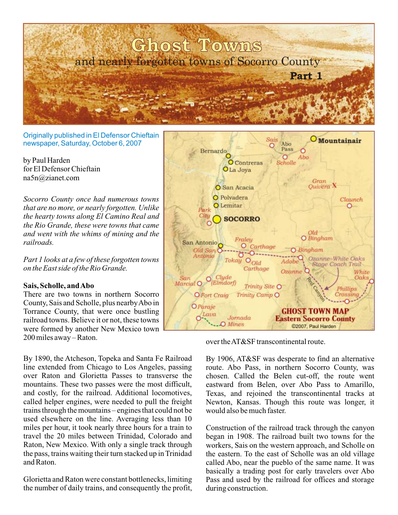

Originally published in El Defensor Chieftain newspaper, Saturday, October 6, 2007

by Paul Harden for El Defensor Chieftain na5n@zianet.com

*Socorro County once had numerous towns that are no more, or nearly forgotten. Unlike the hearty towns along El Camino Real and the Rio Grande, these were towns that came and went with the whims of mining and the railroads.*

*Part 1 looks at a few of these forgotten towns on the East side of the Rio Grande.*

## **Sais, Scholle, and Abo**

There are two towns in northern Socorro County, Sais and Scholle, plus nearby Abo in Torrance County, that were once bustling railroad towns. Believe it or not, these towns were formed by another New Mexico town  $200$  miles away – Raton.  $over the AT\&S$ F transcontinental route.

By 1890, the Atcheson, Topeka and Santa Fe Railroad line extended from Chicago to Los Angeles, passing over Raton and Glorietta Passes to transverse the mountains. These two passes were the most difficult, and costly, for the railroad. Additional locomotives, called helper engines, were needed to pull the freight trains through the mountains – engines that could not be used elsewhere on the line. Averaging less than 10 miles per hour, it took nearly three hours for a train to travel the 20 miles between Trinidad, Colorado and Raton, New Mexico. With only a single track through the pass, trains waiting their turn stacked up in Trinidad and Raton.

Glorietta and Raton were constant bottlenecks, limiting the number of daily trains, and consequently the profit,



By 1906, AT&SF was desperate to find an alternative route. Abo Pass, in northern Socorro County, was chosen. Called the Belen cut-off, the route went eastward from Belen, over Abo Pass to Amarillo, Texas, and rejoined the transcontinental tracks at Newton, Kansas. Though this route was longer, it would also be much faster.

Construction of the railroad track through the canyon began in 1908. The railroad built two towns for the workers, Sais on the western approach, and Scholle on the eastern. To the east of Scholle was an old village called Abo, near the pueblo of the same name. It was basically a trading post for early travelers over Abo Pass and used by the railroad for offices and storage during construction.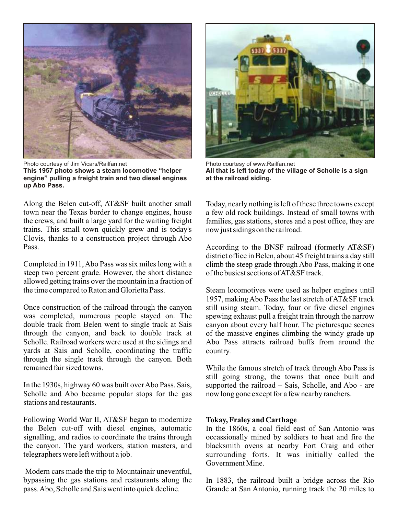

Photo courtesy of Jim Vicars/Railfan.net **This 1957 photo shows a steam locomotive "helper engine" pulling a freight train and two diesel engines up Abo Pass.**

Along the Belen cut-off, AT&SF built another small town near the Texas border to change engines, house the crews, and built a large yard for the waiting freight trains. This small town quickly grew and is today's Clovis, thanks to a construction project through Abo Pass.

Completed in 1911, Abo Pass was six miles long with a steep two percent grade. However, the short distance allowed getting trains over the mountain in a fraction of the time compared to Raton and Glorietta Pass.

Once construction of the railroad through the canyon was completed, numerous people stayed on. The double track from Belen went to single track at Sais through the canyon, and back to double track at Scholle. Railroad workers were used at the sidings and yards at Sais and Scholle, coordinating the traffic through the single track through the canyon. Both remained fair sized towns.

In the 1930s, highway 60 was built over Abo Pass. Sais, Scholle and Abo became popular stops for the gas stations and restaurants.

Following World War II, AT&SF began to modernize the Belen cut-off with diesel engines, automatic signalling, and radios to coordinate the trains through the canyon. The yard workers, station masters, and telegraphers were left without a job.

 Modern cars made the trip to Mountainair uneventful, bypassing the gas stations and restaurants along the pass. Abo, Scholle and Sais went into quick decline.



Photo courtesy of www.Railfan.net **All that is left today of the village of Scholle is a sign at the railroad siding.**

Today, nearly nothing is left of these three towns except a few old rock buildings. Instead of small towns with families, gas stations, stores and a post office, they are now just sidings on the railroad.

According to the BNSF railroad (formerly AT&SF) district office in Belen, about 45 freight trains a day still climb the steep grade through Abo Pass, making it one of the busiest sections of AT&SF track.

Steam locomotives were used as helper engines until 1957, making Abo Pass the last stretch of AT&SF track still using steam. Today, four or five diesel engines spewing exhaust pull a freight train through the narrow canyon about every half hour. The picturesque scenes of the massive engines climbing the windy grade up Abo Pass attracts railroad buffs from around the country.

While the famous stretch of track through Abo Pass is still going strong, the towns that once built and supported the railroad – Sais, Scholle, and Abo - are now long gone except for a few nearby ranchers.

## **Tokay, Fraley and Carthage**

In the 1860s, a coal field east of San Antonio was occassionally mined by soldiers to heat and fire the blacksmith ovens at nearby Fort Craig and other surrounding forts. It was initially called the Government Mine.

In 1883, the railroad built a bridge across the Rio Grande at San Antonio, running track the 20 miles to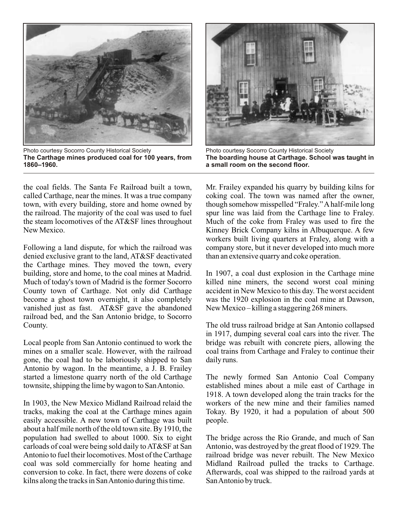

Photo courtesy Socorro County Historical Society **The Carthage mines produced coal for 100 years, from 1860–1960.**

the coal fields. The Santa Fe Railroad built a town, called Carthage, near the mines. It was a true company town, with every building, store and home owned by the railroad. The majority of the coal was used to fuel the steam locomotives of the AT&SF lines throughout New Mexico.

Following a land dispute, for which the railroad was denied exclusive grant to the land, AT&SF deactivated the Carthage mines. They moved the town, every building, store and home, to the coal mines at Madrid. Much of today's town of Madrid is the former Socorro County town of Carthage. Not only did Carthage become a ghost town overnight, it also completely vanished just as fast. AT&SF gave the abandoned railroad bed, and the San Antonio bridge, to Socorro County.

Local people from San Antonio continued to work the mines on a smaller scale. However, with the railroad gone, the coal had to be laboriously shipped to San Antonio by wagon. In the meantime, a J. B. Frailey started a limestone quarry north of the old Carthage townsite, shipping the lime by wagon to San Antonio.

In 1903, the New Mexico Midland Railroad relaid the tracks, making the coal at the Carthage mines again easily accessible. A new town of Carthage was built about a half mile north of the old town site. By 1910, the population had swelled to about 1000. Six to eight carloads of coal were being sold daily to AT&SF at San Antonio to fuel their locomotives. Most of the Carthage coal was sold commercially for home heating and conversion to coke. In fact, there were dozens of coke kilns along the tracks in San Antonio during this time.



Photo courtesy Socorro County Historical Society **The boarding house at Carthage. School was taught in a small room on the second floor.**

Mr. Frailey expanded his quarry by building kilns for coking coal. The town was named after the owner, though somehow misspelled "Fraley." A half-mile long spur line was laid from the Carthage line to Fraley. Much of the coke from Fraley was used to fire the Kinney Brick Company kilns in Albuquerque. A few workers built living quarters at Fraley, along with a company store, but it never developed into much more than an extensive quarry and coke operation.

In 1907, a coal dust explosion in the Carthage mine killed nine miners, the second worst coal mining accident in New Mexico to this day. The worst accident was the 1920 explosion in the coal mine at Dawson, New Mexico – killing a staggering 268 miners.

The old truss railroad bridge at San Antonio collapsed in 1917, dumping several coal cars into the river. The bridge was rebuilt with concrete piers, allowing the coal trains from Carthage and Fraley to continue their daily runs.

The newly formed San Antonio Coal Company established mines about a mile east of Carthage in 1918. A town developed along the train tracks for the workers of the new mine and their families named Tokay. By 1920, it had a population of about 500 people.

The bridge across the Rio Grande, and much of San Antonio, was destroyed by the great flood of 1929. The railroad bridge was never rebuilt. The New Mexico Midland Railroad pulled the tracks to Carthage. Afterwards, coal was shipped to the railroad yards at San Antonio by truck.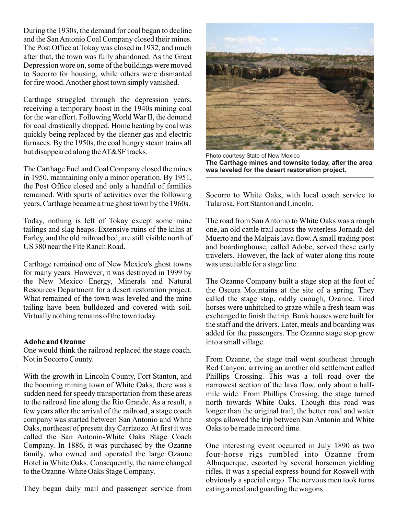During the 1930s, the demand for coal began to decline and the San Antonio Coal Company closed their mines. The Post Office at Tokay was closed in 1932, and much after that, the town was fully abandoned. As the Great Depression wore on, some of the buildings were moved to Socorro for housing, while others were dismanted for fire wood. Another ghost town simply vanished.

Carthage struggled through the depression years, receiving a temporary boost in the 1940s mining coal for the war effort. Following World War II, the demand for coal drastically dropped. Home heating by coal was quickly being replaced by the cleaner gas and electric furnaces. By the 1950s, the coal hungry steam trains all but disappeared along the AT&SF tracks.

The Carthage Fuel and Coal Company closed the mines in 1950, maintaining only a minor operation. By 1951, the Post Office closed and only a handful of families remained. With spurts of activities over the following years, Carthage became a true ghost town by the 1960s.

Today, nothing is left of Tokay except some mine tailings and slag heaps. Extensive ruins of the kilns at Farley, and the old railroad bed, are still visible north of US 380 near the Fite Ranch Road.

Carthage remained one of New Mexico's ghost towns for many years. However, it was destroyed in 1999 by the New Mexico Energy, Minerals and Natural Resources Department for a desert restoration project. What remained of the town was leveled and the mine tailing have been bulldozed and covered with soil. Virtually nothing remains of the town today.

## **Adobe and Ozanne**

One would think the railroad replaced the stage coach. Not in Socorro County.

With the growth in Lincoln County, Fort Stanton, and the booming mining town of White Oaks, there was a sudden need for speedy transportation from these areas to the railroad line along the Rio Grande. As a result, a few years after the arrival of the railroad, a stage coach company was started between San Antonio and White Oaks, northeast of present day Carrizozo.At first it was called the San Antonio-White Oaks Stage Coach Company. In 1886, it was purchased by the Ozanne family, who owned and operated the large Ozanne Hotel in White Oaks. Consequently, the name changed to the Ozanne-White Oaks Stage Company.

They began daily mail and passenger service from



Photo courtesy State of New Mexico **The Carthage mines and townsite today, after the area was leveled for the desert restoration project.**

Socorro to White Oaks, with local coach service to Tularosa, Fort Stanton and Lincoln.

The road from San Antonio to White Oaks was a rough one, an old cattle trail across the waterless Jornada del Muerto and the Malpais lava flow. A small trading post and boardinghouse, called Adobe, served these early travelers. However, the lack of water along this route was unsuitable for a stage line.

The Ozanne Company built a stage stop at the foot of the Oscura Mountains at the site of a spring. They called the stage stop, oddly enough, Ozanne. Tired horses were unhitched to graze while a fresh team was exchanged to finish the trip. Bunk houses were built for the staff and the drivers. Later, meals and boarding was added for the passengers. The Ozanne stage stop grew into a small village.

From Ozanne, the stage trail went southeast through Red Canyon, arriving an another old settlement called Phillips Crossing. This was a toll road over the narrowest section of the lava flow, only about a halfmile wide. From Phillips Crossing, the stage turned north towards White Oaks. Though this road was longer than the original trail, the better road and water stops allowed the trip between San Antonio and White Oaks to be made in record time.

One interesting event occurred in July 1890 as two four-horse rigs rumbled into Ozanne from Albuquerque, escorted by several horsemen yielding rifles. It was a special express bound for Roswell with obviously a special cargo. The nervous men took turns eating a meal and guarding the wagons.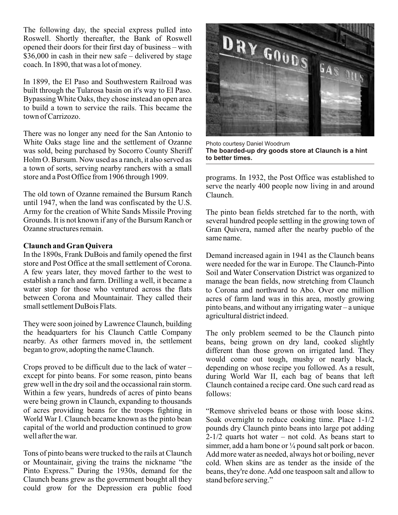The following day, the special express pulled into Roswell. Shortly thereafter, the Bank of Roswell opened their doors for their first day of business – with \$36,000 in cash in their new safe – delivered by stage coach. In 1890, that was a lot of money.

In 1899, the El Paso and Southwestern Railroad was built through the Tularosa basin on it's way to El Paso. Bypassing White Oaks, they chose instead an open area to build a town to service the rails. This became the town of Carrizozo.

There was no longer any need for the San Antonio to White Oaks stage line and the settlement of Ozanne was sold, being purchased by Socorro County Sheriff Holm O. Bursum. Now used as a ranch, it also served as a town of sorts, serving nearby ranchers with a small store and a Post Office from 1906 through 1909.

The old town of Ozanne remained the Bursum Ranch until 1947, when the land was confiscated by the U.S. Army for the creation of White Sands Missile Proving Grounds. It is not known if any of the Bursum Ranch or Ozanne structures remain.

## **Claunch and Gran Quivera**

In the 1890s, Frank DuBois and family opened the first store and Post Office at the small settlement of Corona. A few years later, they moved farther to the west to establish a ranch and farm. Drilling a well, it became a water stop for those who ventured across the flats between Corona and Mountainair. They called their small settlement DuBois Flats.

They were soon joined by Lawrence Claunch, building the headquarters for his Claunch Cattle Company nearby. As other farmers moved in, the settlement began to grow, adopting the name Claunch.

Crops proved to be difficult due to the lack of water – except for pinto beans. For some reason, pinto beans grew well in the dry soil and the occassional rain storm. Within a few years, hundreds of acres of pinto beans were being grown in Claunch, expanding to thousands of acres providing beans for the troops fighting in World War I. Claunch became known as the pinto bean capital of the world and production continued to grow well after the war.

Tons of pinto beans were trucked to the rails at Claunch or Mountainair, giving the trains the nickname "the Pinto Express." During the 1930s, demand for the Claunch beans grew as the government bought all they could grow for the Depression era public food



Photo courtesy Daniel Woodrum **The boarded-up dry goods store at Claunch is a hint to better times.**

programs. In 1932, the Post Office was established to serve the nearly 400 people now living in and around Claunch.

The pinto bean fields stretched far to the north, with several hundred people settling in the growing town of Gran Quivera, named after the nearby pueblo of the same name.

Demand increased again in 1941 as the Claunch beans were needed for the war in Europe. The Claunch-Pinto Soil and Water Conservation District was organized to manage the bean fields, now stretching from Claunch to Corona and northward to Abo. Over one million acres of farm land was in this area, mostly growing pinto beans, and without any irrigating water – a unique agricultural district indeed.

The only problem seemed to be the Claunch pinto beans, being grown on dry land, cooked slightly different than those grown on irrigated land. They would come out tough, mushy or nearly black, depending on whose recipe you followed. As a result, during World War II, each bag of beans that left Claunch contained a recipe card. One such card read as follows:

"Remove shriveled beans or those with loose skins. Soak overnight to reduce cooking time. Place 1-1/2 pounds dry Claunch pinto beans into large pot adding  $2-1/2$  quarts hot water – not cold. As beans start to simmer, add a ham bone or  $\frac{1}{4}$  pound salt pork or bacon. Add more water as needed, always hot or boiling, never cold. When skins are as tender as the inside of the beans, they're done. Add one teaspoon salt and allow to stand before serving."